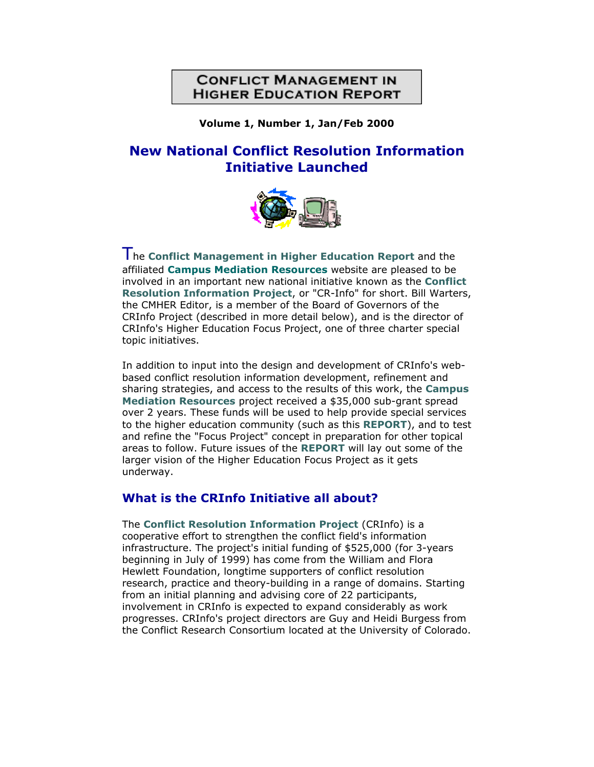## **CONFLICT MANAGEMENT IN HIGHER EDUCATION REPORT**

**Volume 1, Number 1, Jan/Feb 2000** 

# **New National Conflict Resolution Information Initiative Launched**



The **Conflict Management in Higher Education Report** and the affiliated **Campus Mediation Resources** website are pleased to be involved in an important new national initiative known as the **Conflict Resolution Information Project**, or "CR-Info" for short. Bill Warters, the CMHER Editor, is a member of the Board of Governors of the CRInfo Project (described in more detail below), and is the director of CRInfo's Higher Education Focus Project, one of three charter special topic initiatives.

In addition to input into the design and development of CRInfo's webbased conflict resolution information development, refinement and sharing strategies, and access to the results of this work, the **Campus Mediation Resources** project received a \$35,000 sub-grant spread over 2 years. These funds will be used to help provide special services to the higher education community (such as this **REPORT**), and to test and refine the "Focus Project" concept in preparation for other topical areas to follow. Future issues of the **REPORT** will lay out some of the larger vision of the Higher Education Focus Project as it gets underway.

#### **What is the CRInfo Initiative all about?**

The **Conflict Resolution Information Project** (CRInfo) is a cooperative effort to strengthen the conflict field's information infrastructure. The project's initial funding of \$525,000 (for 3-years beginning in July of 1999) has come from the William and Flora Hewlett Foundation, longtime supporters of conflict resolution research, practice and theory-building in a range of domains. Starting from an initial planning and advising core of 22 participants, involvement in CRInfo is expected to expand considerably as work progresses. CRInfo's project directors are Guy and Heidi Burgess from the Conflict Research Consortium located at the University of Colorado.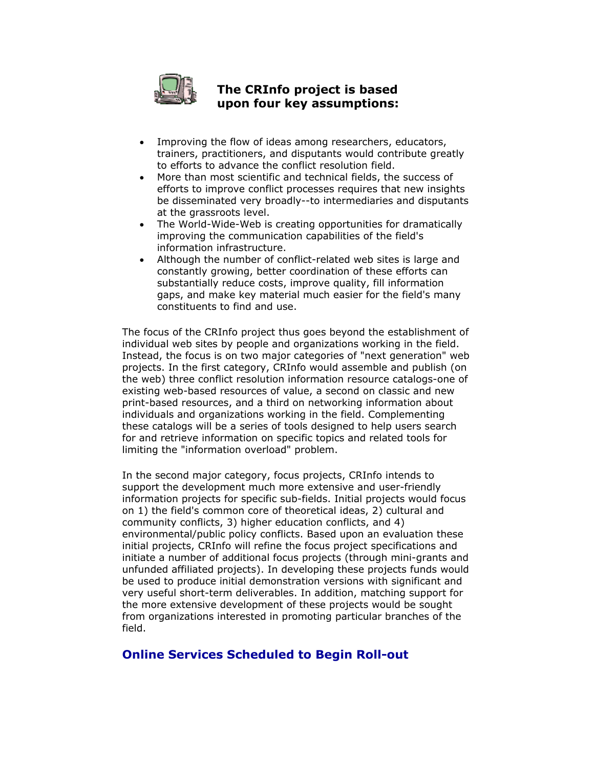

## **The CRInfo project is based upon four key assumptions:**

- Improving the flow of ideas among researchers, educators, trainers, practitioners, and disputants would contribute greatly to efforts to advance the conflict resolution field.
- More than most scientific and technical fields, the success of efforts to improve conflict processes requires that new insights be disseminated very broadly--to intermediaries and disputants at the grassroots level.
- The World-Wide-Web is creating opportunities for dramatically improving the communication capabilities of the field's information infrastructure.
- Although the number of conflict-related web sites is large and constantly growing, better coordination of these efforts can substantially reduce costs, improve quality, fill information gaps, and make key material much easier for the field's many constituents to find and use.

The focus of the CRInfo project thus goes beyond the establishment of individual web sites by people and organizations working in the field. Instead, the focus is on two major categories of "next generation" web projects. In the first category, CRInfo would assemble and publish (on the web) three conflict resolution information resource catalogs-one of existing web-based resources of value, a second on classic and new print-based resources, and a third on networking information about individuals and organizations working in the field. Complementing these catalogs will be a series of tools designed to help users search for and retrieve information on specific topics and related tools for limiting the "information overload" problem.

In the second major category, focus projects, CRInfo intends to support the development much more extensive and user-friendly information projects for specific sub-fields. Initial projects would focus on 1) the field's common core of theoretical ideas, 2) cultural and community conflicts, 3) higher education conflicts, and 4) environmental/public policy conflicts. Based upon an evaluation these initial projects, CRInfo will refine the focus project specifications and initiate a number of additional focus projects (through mini-grants and unfunded affiliated projects). In developing these projects funds would be used to produce initial demonstration versions with significant and very useful short-term deliverables. In addition, matching support for the more extensive development of these projects would be sought from organizations interested in promoting particular branches of the field.

#### **Online Services Scheduled to Begin Roll-out**